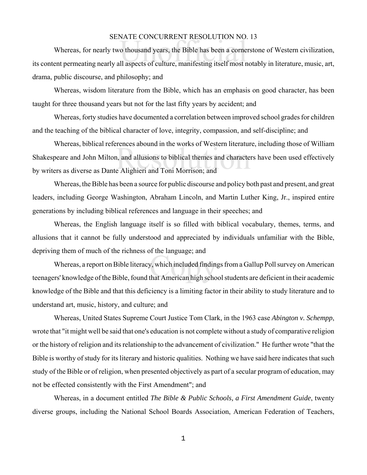## SENATE CONCURRENT RESOLUTION NO. 13

NATE CONCORKENT RESOLOTION NO.<br>o thousand years, the Bible has been a corne<br>Il aspects of culture, manifesting itself most r Whereas, for nearly two thousand years, the Bible has been a cornerstone of Western civilization, its content permeating nearly all aspects of culture, manifesting itself most notably in literature, music, art, drama, public discourse, and philosophy; and

Whereas, wisdom literature from the Bible, which has an emphasis on good character, has been taught for three thousand years but not for the last fifty years by accident; and

Whereas, forty studies have documented a correlation between improved school grades for children and the teaching of the biblical character of love, integrity, compassion, and self-discipline; and

rences abound in the works or western interatured.<br>
1, and allusions to biblical themes and characte<br>
e Alighieri and Toni Morrison; and Whereas, biblical references abound in the works of Western literature, including those of William Shakespeare and John Milton, and allusions to biblical themes and characters have been used effectively by writers as diverse as Dante Alighieri and Toni Morrison; and

Whereas, the Bible has been a source for public discourse and policy both past and present, and great leaders, including George Washington, Abraham Lincoln, and Martin Luther King, Jr., inspired entire generations by including biblical references and language in their speeches; and

Whereas, the English language itself is so filled with biblical vocabulary, themes, terms, and allusions that it cannot be fully understood and appreciated by individuals unfamiliar with the Bible, depriving them of much of the richness of the language; and

ucpriving them of much of the fieldness of the language, and<br>Whereas, a report on Bible literacy, which included findings from a Gallup Poll survey on American<br>teenagers' knowledge of the Bible, found that American high sc Whereas, a report on Bible literacy, which included findings from a Gallup Poll survey on American knowledge of the Bible and that this deficiency is a limiting factor in their ability to study literature and to understand art, music, history, and culture; and

Whereas, United States Supreme Court Justice Tom Clark, in the 1963 case *Abington v. Schempp*, wrote that "it might well be said that one's education is not complete without a study of comparative religion or the history of religion and its relationship to the advancement of civilization." He further wrote "that the Bible is worthy of study for its literary and historic qualities. Nothing we have said here indicates that such study of the Bible or of religion, when presented objectively as part of a secular program of education, may not be effected consistently with the First Amendment"; and

Whereas, in a document entitled *The Bible & Public Schools, a First Amendment Guide*, twenty diverse groups, including the National School Boards Association, American Federation of Teachers,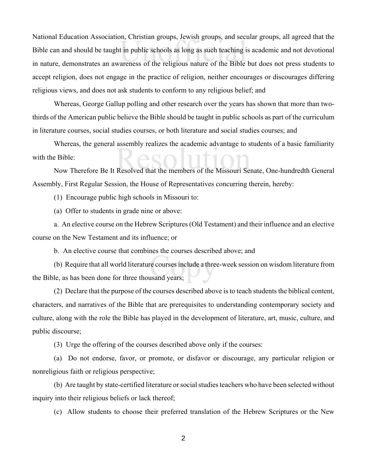on, Christian groups, Jewish groups, and sect<br>t in public schools as long as such teaching i<br>areness of the religious nature of the Bible National Education Association, Christian groups, Jewish groups, and secular groups, all agreed that the Bible can and should be taught in public schools as long as such teaching is academic and not devotional in nature, demonstrates an awareness of the religious nature of the Bible but does not press students to accept religion, does not engage in the practice of religion, neither encourages or discourages differing religious views, and does not ask students to conform to any religious belief; and

Whereas, George Gallup polling and other research over the years has shown that more than twothirds of the American public believe the Bible should be taught in public schools as part of the curriculum in literature courses, social studies courses, or both literature and social studies courses; and

whereas, the general assembly realizes the academic advantage to students of a basic familiarity<br>Bible:<br>Now Therefore Be It Resolved that the members of the Missouri Senate, One-hundredth General Whereas, the general assembly realizes the academic advantage to students of a basic familiarity with the Bible:

Assembly, First Regular Session, the House of Representatives concurring therein, hereby:

(1) Encourage public high schools in Missouri to:

(a) Offer to students in grade nine or above:

a. An elective course on the Hebrew Scriptures (Old Testament) and their influence and an elective course on the New Testament and its influence; or

b. An elective course that combines the courses described above; and

re courses include a three<br>usand years; (b) Require that all world literature courses include a three-week session on wisdom literature from the Bible, as has been done for three thousand years;

(2) Declare that the purpose of the courses described above is to teach students the biblical content, characters, and narratives of the Bible that are prerequisites to understanding contemporary society and culture, along with the role the Bible has played in the development of literature, art, music, culture, and public discourse;

(3) Urge the offering of the courses described above only if the courses:

(a) Do not endorse, favor, or promote, or disfavor or discourage, any particular religion or nonreligious faith or religious perspective;

(b) Are taught by state-certified literature or social studies teachers who have been selected without inquiry into their religious beliefs or lack thereof;

(c) Allow students to choose their preferred translation of the Hebrew Scriptures or the New

2